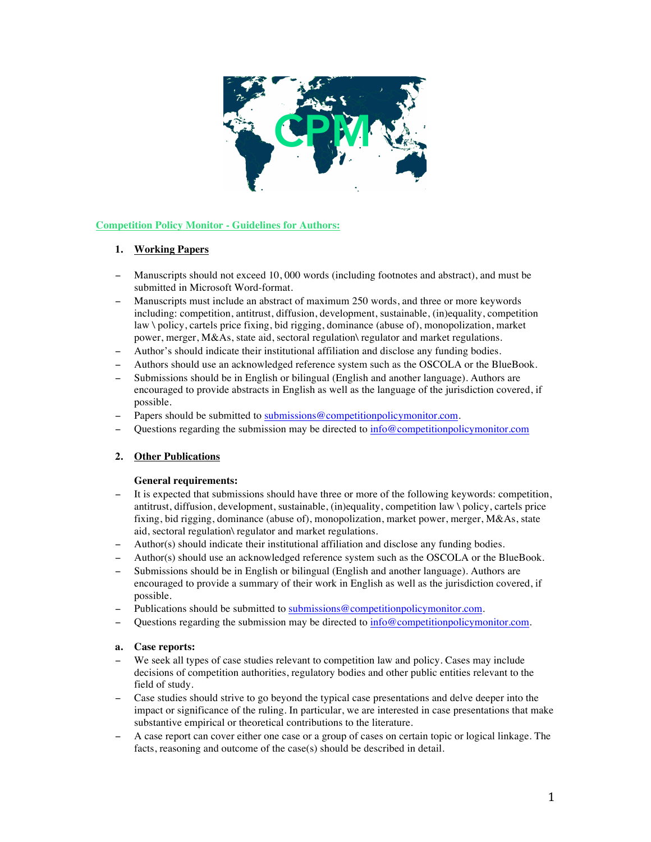

# **Competition Policy Monitor - Guidelines for Authors:**

## **1. Working Papers**

- Manuscripts should not exceed 10,000 words (including footnotes and abstract), and must be submitted in Microsoft Word-format.
- Manuscripts must include an abstract of maximum 250 words, and three or more keywords including: competition, antitrust, diffusion, development, sustainable, (in)equality, competition law \ policy, cartels price fixing, bid rigging, dominance (abuse of), monopolization, market power, merger, M&As, state aid, sectoral regulation\ regulator and market regulations.
- − Author's should indicate their institutional affiliation and disclose any funding bodies.
- − Authors should use an acknowledged reference system such as the OSCOLA or the BlueBook.
- Submissions should be in English or bilingual (English and another language). Authors are encouraged to provide abstracts in English as well as the language of the jurisdiction covered, if possible.
- Papers should be submitted to submissions@competitionpolicymonitor.com.
- − Questions regarding the submission may be directed to info@competitionpolicymonitor.com

## **2. Other Publications**

## **General requirements:**

- It is expected that submissions should have three or more of the following keywords: competition, antitrust, diffusion, development, sustainable, (in)equality, competition law \ policy, cartels price fixing, bid rigging, dominance (abuse of), monopolization, market power, merger, M&As, state aid, sectoral regulation\ regulator and market regulations.
- − Author(s) should indicate their institutional affiliation and disclose any funding bodies.
- − Author(s) should use an acknowledged reference system such as the OSCOLA or the BlueBook.
- Submissions should be in English or bilingual (English and another language). Authors are encouraged to provide a summary of their work in English as well as the jurisdiction covered, if possible.
- Publications should be submitted to submissions@competitionpolicymonitor.com.
- Questions regarding the submission may be directed to  $\frac{info@completionpolicymonitor.com}{info@confusion}$ .

## **a. Case reports:**

- We seek all types of case studies relevant to competition law and policy. Cases may include decisions of competition authorities, regulatory bodies and other public entities relevant to the field of study.
- − Case studies should strive to go beyond the typical case presentations and delve deeper into the impact or significance of the ruling. In particular, we are interested in case presentations that make substantive empirical or theoretical contributions to the literature.
- − A case report can cover either one case or a group of cases on certain topic or logical linkage. The facts, reasoning and outcome of the case(s) should be described in detail.